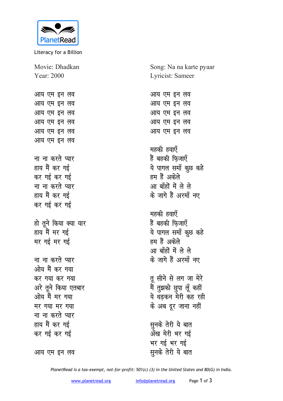

Literacy for a Billion

Movie: Dhadkan Year: 2000

<u>आय एम इन लव</u> आय एम इन लव आय एम इन लव <u>आय एम इन लव</u> <u>आय एम इन लव</u> <u>आय एम इन लव</u>

<u>ना ना करते प्यार</u> हाय मैं कर गई कर गई कर गई <u>ना ना करते प्यार</u> हाय मैं कर गई कर गई कर गई

हो तूने किया क्या यार हाय मैं मर गई मर गई मर गई

<u>ना ना करते प्यार</u> <u>ओय मैं कर गया</u> कर गया कर गया अरे तूने किया एतबार ओय मैं मर गया **HY** गया मर गया <u>ना ना करते प्यार</u> हाय मैं कर गई कर गई कर गई

आय एम इन लव

Song: Na na karte pyaar Lyricist: Sameer

<u>आय एम इन लव</u> <u>आय एम इन लव</u> आय एम इन लव <u>आय एम इन लव</u> <u>आय एम इन लव</u>

महकी हवाएँ हैं बहकी फिजाए<mark>ँ</mark> ये पागल समॉं कुछ कहे हम हैं अकेले आ बाँहों में ले ले के जागे हैं अरमाँ नए

**महकी हवाएँ** हैं बहकी फिजाएँ ये पागल समाँ कूछ कहे हम हैं अकेले <u>आ बाँहों में ले ले</u> <u>के जागे हैं अरमॉं नए</u>

तू सीने से लग जा मेर<mark>े</mark> मैं तुझको छुपा लूँ कही<del>ं</del> ये धडकन मेरी कह रही के अब दूर जाना नहीं

**सूनके तेरी ये बात** अँख मेरी भर गई भर गई भर गई **सुनके तेरी ये बात** 

*PlanetRead is a tax-exempt, not-for-profit: 501(c) (3) in the United States and 80(G) in India.*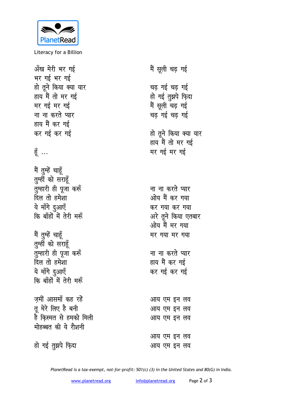

Literacy for a Billion

मैं सूली चढ़ गई अँख मेरी भर गई भर गई भर गई हो तूने किया क्या यार चढ गई चढ गई हाय मैं तो मर गई हो गई तुझपे फ़िदा मैं सूली चढ़ गई मर गई मर गई चढ गई चढ गई ना ना करते प्यार हाय मैं कर गई कर गई कर गई हो तूने किया क्या यार हाय मैं तो मर गई हूँ $\ldots$ मर गई मर गई मैं तुम्हें चाहूँ तुम्हीं को सराहूँ तुम्हारी ही पूजा करूँ ना ना करते प्यार दिल तो हमेशा ओय मैं कर गया ये माँगे दुआएँ कर गया कर गया कि बाँहों में तेरी मरूँ अरे तुने किया एतबार ओय मैं मर गया मैं तुम्हें चाहूँ मर गया मर गया तुम्हीं को सराहूँ तुम्हारी ही पूजा करूँ ना ना करते प्यार दिल तो हमेशा हाय मैं कर गई ये माँगे दुआएँ कर गई कर गई कि बाँहों में तेरी मरूँ जमीं आसमाँ कह रहें आय एम इन लव तू मेरे लिए है बनी आय एम इन लव है किस्मत से हमको मिली आय एम इन लव मोहब्बत की ये रौशनी आय एम इन लव हो गई तुझपे फ़िदा आय एम इन लव

PlanetRead is a tax-exempt, not-for-profit: 501(c) (3) in the United States and 80(G) in India.